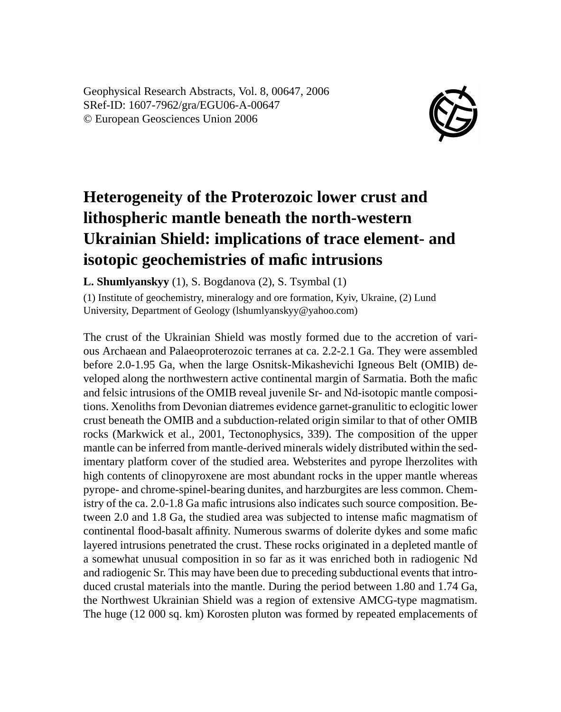Geophysical Research Abstracts, Vol. 8, 00647, 2006 SRef-ID: 1607-7962/gra/EGU06-A-00647 © European Geosciences Union 2006



## **Heterogeneity of the Proterozoic lower crust and lithospheric mantle beneath the north-western Ukrainian Shield: implications of trace element- and isotopic geochemistries of mafic intrusions**

**L. Shumlyanskyy** (1), S. Bogdanova (2), S. Tsymbal (1)

(1) Institute of geochemistry, mineralogy and ore formation, Kyiv, Ukraine, (2) Lund University, Department of Geology (lshumlyanskyy@yahoo.com)

The crust of the Ukrainian Shield was mostly formed due to the accretion of various Archaean and Palaeoproterozoic terranes at ca. 2.2-2.1 Ga. They were assembled before 2.0-1.95 Ga, when the large Osnitsk-Mikashevichi Igneous Belt (OMIB) developed along the northwestern active continental margin of Sarmatia. Both the mafic and felsic intrusions of the OMIB reveal juvenile Sr- and Nd-isotopic mantle compositions. Xenoliths from Devonian diatremes evidence garnet-granulitic to eclogitic lower crust beneath the OMIB and a subduction-related origin similar to that of other OMIB rocks (Markwick et al., 2001, Tectonophysics, 339). The composition of the upper mantle can be inferred from mantle-derived minerals widely distributed within the sedimentary platform cover of the studied area. Websterites and pyrope lherzolites with high contents of clinopyroxene are most abundant rocks in the upper mantle whereas pyrope- and chrome-spinel-bearing dunites, and harzburgites are less common. Chemistry of the ca. 2.0-1.8 Ga mafic intrusions also indicates such source composition. Between 2.0 and 1.8 Ga, the studied area was subjected to intense mafic magmatism of continental flood-basalt affinity. Numerous swarms of dolerite dykes and some mafic layered intrusions penetrated the crust. These rocks originated in a depleted mantle of a somewhat unusual composition in so far as it was enriched both in radiogenic Nd and radiogenic Sr. This may have been due to preceding subductional events that introduced crustal materials into the mantle. During the period between 1.80 and 1.74 Ga, the Northwest Ukrainian Shield was a region of extensive AMCG-type magmatism. The huge (12 000 sq. km) Korosten pluton was formed by repeated emplacements of